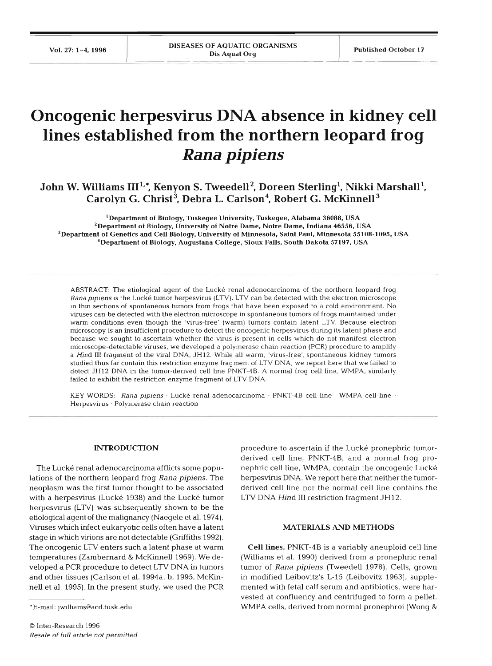# **Oncogenic herpesvirus DNA absence in kidney cell lines established from the northern leopard frog**  *Rana pipiens*

John W. Williams III<sup>1,\*</sup>, Kenyon S. Tweedell<sup>2</sup>, Doreen Sterling<sup>1</sup>, Nikki Marshall<sup>1</sup>, Carolyn G. Christ<sup>3</sup>, Debra L. Carlson<sup>4</sup>, Robert G. McKinnell<sup>3</sup>

**'Department of Biology, Tuskegee University. Tuskegee, Alabama 36088. USA 'Department of Biology. University of Notre Dame, Notre Dame. Indiana 46556. USA 3Department of Genetics and Cell Biology. University of Minnesota. Saint Paul, Minnesota 55108-1095, USA 'Department of Biology, Augustana College, Sioux Falls, South Dakota 57197, USA** 

ABSTRACT: The etiological agent of the Lucke renal adenocarcinoma of the northern leopard frog Rana pipiens is the Lucké tumor herpesvirus (LTV). LTV can be detected with the electron microscope in thin sections of spontaneous tumors from frogs that have been exposed to a cold environment. No viruses can be detected with the electron microscope in spontaneous tumors of frogs maintained under warm conditions even though the 'virus-free' (warm) tumors contain latent LTV. Because electron microscopy is an insufficient procedure to detect the oncogenic herpesvirus during its latent phase and because we sought to ascertain whether the virus is present in cells which do not manifest electron microscope-detectable viruses, we developed a polymerase cham reaction (PCR) procedure to amplify a find **I11** fragment of the viral DNA, JH12. Whde all warm, 'virus-free', spontaneous kidney tumors studled thus far contain this restriction enzyme fragment of LTV DNA, we report here that we failed to detect JH12 DNA in the tumor-denved cell line PNKT-4B. A normal frog cell line. WMPA, similarly failed to exhibit the restriction enzyme fragment of LTV DNA.

KEY WORDS: Rana pipiens · Lucké renal adenocarcinoma · PNKT-4B cell line WMPA cell line · Herpesvirus · Polymerase chain reaction

### **INTRODUCTION**

The Lucké renal adenocarcinoma afflicts some populations of the northern leopard frog Rana pipiens. The neoplasm was the first tumor thought to be associated with a herpesvirus (Lucké 1938) and the Lucké tumor herpesvirus (LTV) was subsequently shown to be the etiological agent of the malignancy (Naegele et al. 1974). Viruses which lnfect eukaryotic cells often have a latent stage in which virions are not detectable (Griffiths 1992). The oncogenic LTV enters such a latent phase at warm temperatures (Zambernard & McKinnell 1969). We developed a PCR procedure to detect LTV DNA in tumors and other tissues (Carlson et al. 1994a, b, 1995, McKinnell et al. 1995). In the present study, we used the PCR

procedure to ascertain if the Lucke pronephric tumorderived cell line, PNKT-4B, and a normal frog pronephric cell line, WMPA, contain the oncogenic Lucké herpesvirus DNA. We report here that neither the tumorderived cell Line nor the normal cell Line contains the LTV DNA Hind III restriction fragment JH12.

## **MATERIALS AND METHODS**

**Cell lines.** PNKT-4B is a variably aneuploid cell line (Williams et al. 1990) derived from a pronephric renal tumor of *Rana plpiens* (Tweedell 1978). Cells, grown in modified Leibovitz's L-15 (Leibovitz 1963), supplemented with fetal calf serum and antibiotics, were harvested at confluency and centrifuged to form a pellet. WMPA cells, derived from normal pronephroi (Wong &

<sup>\*</sup>E-mail: jwilliams@acd.tusk.edu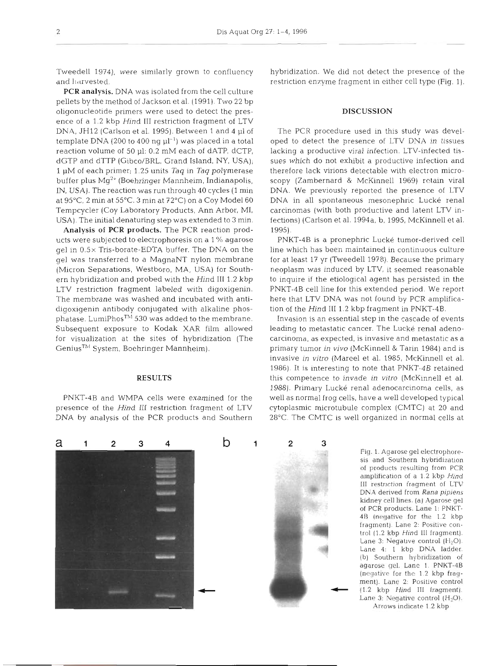and harvested. The same striction enzyme fragment in either cell type (Fig. 1).

PCR analysis. DNA was isolated from the cell culture pellets by the method of Jackson et al. (1991). Two 22 bp oligonucleotide primers were used to detect the pres- **DISCUSSION**  ence of a 1.2 kbp Hind 111 restriction fragment of LTV DNA, JH12 (Carlson et al. 1995). Between 1 and 4 µl of The PCR procedure used in this study was develtemplate DNA (200 to 400 ng  $\mu$ <sup>-1</sup>) was placed in a total oped to detect the presence of LTV DNA in tissues reaction volume of 50 pl: 0.2 mM each of dATP, dCTP, lacking a productive viral infection. LTV-infected tisdGTP and dTTP (Gibco/BRL, Grand Island, NY, USA); sues which do not exhibit a productive infection and 1 µM of each primer; 1.25 units *Taq* in *Taq* polymerase therefore lack virions detectable with electron micro-<br>buffer plus Mg<sup>2+</sup> (Boehringer Mannheim, Indianapolis, scopy (Zambernard & McKinnell 1969) retain viral IN, USA). The reaction was run through 40 cycles (1 min DNA. We previously reported the presence of LTV at 95°C, 2 min at 55°C. 3 min at 72°C) on a Coy Model 60 DNA in all spontaneous mesonephric Lucké renal Tempcycler (Coy Laboratory Products, Ann Arbor, MI, carcinomas (with both productive and latent LTV in-USA). The initial denaturing step was extended to **3** min. fections) (Carlson et al. 1994a, b, 1995, McKinnell et al.

**Analysis of** PCR **products.** The PCR reaction prod- 1995). ucts were subjected to electrophoresis on a l % agarose PNKT-4B is a pronephric Lucke tumor-derived cell gel in 0.5 x Tris-borate-EDTA buffer. The DNA on the line which has been maintained in continuous culture gel was transferred to a MagnaNT nylon membrane for at least 17 yr (Tweedell 1978). Because the primary (Micron Separations, Westboro, MA, USA) for South- neoplasm was induced by LTV, it seemed reasonable ern hybridization and probed with the Hind III 1.2 kbp to inquire if the etiological agent has persisted in the LTV restriction fragment labeled with digoxigenin. PNKT-4B cell line for this extended period. We report The membrane was washed and incubated with anti- here that LTV DNA was not found by PCR amplificadigoxigenin antibody conjugated with alkaline phos-<br>
phatase. LumiPhos<sup>TM</sup> 530 was added to the membrane. Invasion is an essential step in the cascade of ev Subsequent exposure to Kodak XAR film allowed leading to metastatic cancer. The Lucké renal adenofor visualization at the sites of hybridization (The carcinoma, as expected, is invasive and metastatic as a

presence of the Hind III restriction fragment of LTV cytoplasmic microtubule complex (CMTC) at 20 and DNA by analysis of the PCR products and Southern 28°C. The CMTC is well organized in normal cells at

Tweedell 1974), were similarly grown to confluency hybridization. We did not detect the presence of the

scopy (Zambernard & McKinnell 1969) retain viral

Invasion is an essential step in the cascade of events Genius<sup>™</sup> System, Boehringer Mannheim). primary tumor *in vivo* (McKinnell & Tarin 1984) and is invasive in vitro (Mareel et al. 1985, McKinnell et al. 1986). It is interesting to note that PNKT-4B retained **RESULTS this competence to invade in vitro (McKinnell et al.**) 1988). Primary Lucké renal adenocarcinoma cells, as PNKT-4B and WMPA cells were examined for the well as normal frog cells, have a well developed typical



**Fig.** 1. Agarose gel electrophoresis and Southern hybridization of products resulting from PCR amplification of a 1.2 kbp Hind **III** restriction fragment of LTV DNA derived from *Rana* pipiens kidney cell lines. (a) Agarose gel of PCR products. Lane 1: PNKT-**48** (negative for the 1.2 kbp fragment). Lane 2: Positive control (1.2 kbp Hind 111 fragment). Lane 3: Negative control (H<sub>2</sub>O). Lane 4: 1 kbp DNA ladder. (b) Southern hybridization of agarose gel. Lane **1.** PNKT-4B (negative for the 1.2 kbp fragment). Lane 2: Positive control **11.2** kbp Hind 111 fragment). Lane 3: Negative control (H<sub>2</sub>O). Arrows indicate 1 2 kbp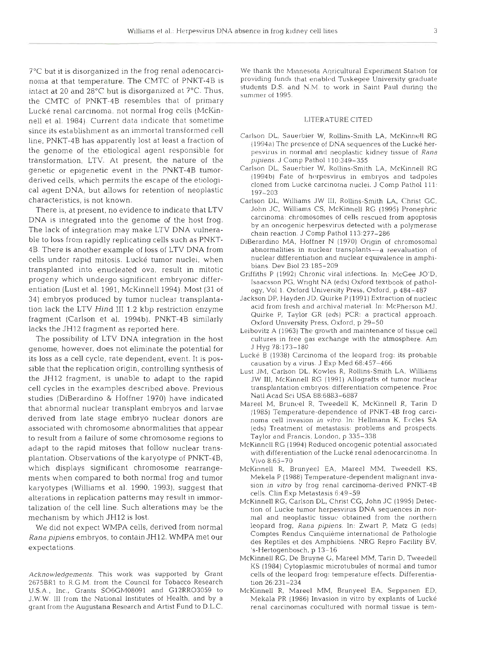?'C but it is disorganized in the frog renal adenocarci-<br>nome at that temperature. The CMTC of PNKT-4B is providing funds that enabled Tuskegee University graduate intact at 20 and 28°C but is disorganized at 7°C. Thus, the CMTC of PNKT-4B resembles that of primary Lucke renal carcinoma, not normal frog cells (McKinnell et al. 1984). Current data indicate that sometime LlTERATURE CITED since its establishment as an immortal transformed rell<br>line, PNKT-4B has apparently lost at least a fraction of<br>the genome of the etiological agent responsible for<br>transformation, LTV. At present, the nature of the pipien transformation, LTV. At present, the nature of the *pipiens* J Comp Pathol 110:349-355<br>genetic or epigenetic event in the PNKT-4R tumor- Carlson DL, Sauerbier W, Rollins-Smith LA, McKinnell RG characteristics, is not known. Carlson DL, Williams JW III, Rollins-Smith LA, Christ G

DNA is integrated into the genome of the host frog.<br>
The lack of integration may make LTV DNA vulnera-<br>
ble to loss from rapidly replicating cells such as PNKT-<br>
4B. There is another example of loss of LTV DNA from<br>  $\frac{19$ cells under rapid mitosis. Lucké tumor nuclei, when nuclear differentiation and nuclear equivalence in amplitransplanted into enucleated ova, result in mitotic<br>progeny which undergo significant embryonic differ-<br>Isaacsson PG Wright NA (eds) Oxford textbook of patholentiation (Lust et al. 1991, McKinnell 1994). Most (31 of ogy, Vol 1. Oxford University Press, Oxford, p 484-487 34) embryos produced by turnor nuclear transplanta-<br>tion lack the LTV Hind III 1.2 ktrs restriction enzyme acid from fresh and archival material. In: McPherson MJ, tion lack the LTV Hind III 1.2 kbp restriction enzyme<br>fragment (Carlson et al. 1994b). PNKT-4B similarly<br>lacks the JH12 fragment as reported here.<br>lacks the JH12 fragment as reported here.<br>lacks the UH12 fragment as report

genome, however, does not eliminate the potential for<br>its loss as a sell guale, rate dependent, quant, It is not bucké B (1938) Carcinoma of the leopard frog: its probable its loss as a cell cycle, rate dependent, event. It is pos-<br>sible that the replication origin, controlling synthesis of Lust JM, Carlson DL, Kowles R, Rollins-Smith LA, Williams studies (DiBerardino & Hoffner 1970) have indicated<br>
that abnormal nuclear transplant embryos and larvae<br>
derived from late stage embryo nuclear donors are<br>
derived from late stage embryo nuclear donors are<br>
the moma cell associated with chromosome abnormalities that appear (eds) Treatment of metastasis: problems and prospects.<br>to result from a failure of some chromosome regions to Taylor and Francis, London, p 335–338 to result from a failure of some chromosome regions to Taylor and Francis, London, p 335–338<br>McKinnell RG (1994) Reduced oncogenic potential associated adapt to the rapid mitoses that follow nuclear transplantation. Observations of the karyotype of PNKT-4B, which displays significant chromosome rearrange- McKinnell R, Brunyeel EA, Mareel MM. Tweedell KS, karyotypes (Williams et al. 1990, 1993), suggest that sign in vitro by trog renail cardinoma-derived PNK1-4B<br>alterations in replication patterns may result in immor-<br>McKinnell RG, Carlson DL, Christ CG, John JC (1995) Dete mechanism by which JH12 is lost.

We did not expect WMPA cells, derived from normal Rana *pipiens* embryos, to contain JH12. WMPA met our expectations.

noma at that temperature. The CMTC of PNKT-4B is providing funds that enabled Tuskegee University graduate<br>interest and New Lage and Security is discussed in the CMTC. Thus students D.S. and N.M. to work in Saint Paul duri summer of 1995.

- 
- genetic or epigenetic event in the PNKT-4B tumor-<br>(1994b) Fate of herpesvirus in embryos and tadpoles<br>(1994b) Fate of herpesvirus in embryos and tadpoles derived cells, which permits the escape of the etiologi-<br>cal agent DNA, but allows for retention of neoplastic  $\frac{19940}{199-203}$  rate of neipesvilus in embryos and taupoles
	- There is, at present, no evidence to indicate that LTV John JC, Williams CS, McKinnell RG (1995) Pronephric ...<br>NA is integrated into the genome of the bost frog carcinoma: chromosomes of cells rescued from apoptosis
- 4B. There is another example of loss of LTV DNA from abnormalities in nuclear transplants—a reevaluation of cells under ranid mitosis. Lucké tumor nuclei, when unclear differentiation and nuclear equivalence in amphi-
	- Isaacsson PG, Wright NA (eds) Oxford textbook of pathol-
	-
	- The possibility of LTV DNA integration in the host cultures in free gas exchange with the atmosphere. Am  $J Hyg 78:173-180$ 
		-
- the JH12 fragment, is unable to adapt to the rapid JW III, McKinnell RG (1991) Allografts of tumor nuclear cell cycles in the examples described above. Previous transplantation embryos: differentiation competence. Proc
	-
	- with differentiation of the Lucké renal adenocarcinoma. In Vivo 8:65-70
- ments when compared to both normal frog and tumor Mekela P (1988) Temperature-dependent malignant inva-<br>karvotynes (Williams et al. 1990–1993), suggest that sion *in vitro* by frog renal carginoma-derived PNKT-4B
- talization of the cell line. Such alterations may be the tion of Lucke tumor herpesvirus DNA sequences in normal and neoplastic tissue obtained from the northern leopard frog, Rana pipiens. In: Zwart P. Matz G (eds) Comptes Rendus Cinquieme international de Pathologie des Reptiles et des Amphibiens. NRG Repro Facility BV, 'S-Hertogenbosch, p 13-16
- McKinnell RG, De Bruyne G, Mareel MM, Tarin D, Tweedell KS (1984) Cytoplasmic microtubules of normal and tumor Acknowledgements. This work was supported by Grant cells of the leopard frog: temperature effects. Differentiation 26:231-234
- J.W.W. 111 from the National Institutes of Health, and by a Mekala PR (1986) Invasion in vitro by explants of Lucke

<sup>2675</sup>BR1 to R.G.M. from the Council for Tobacco Research U.S.A., Inc., Grants S06GM08091 and G12RR03059 to McKinnell R, Mareel MM, Brunyeel EA. Seppanen ED, grant from the Augustana Research and Artist Fund to D.L.C. renal carcinomas cocultured with normal tissue is tem-